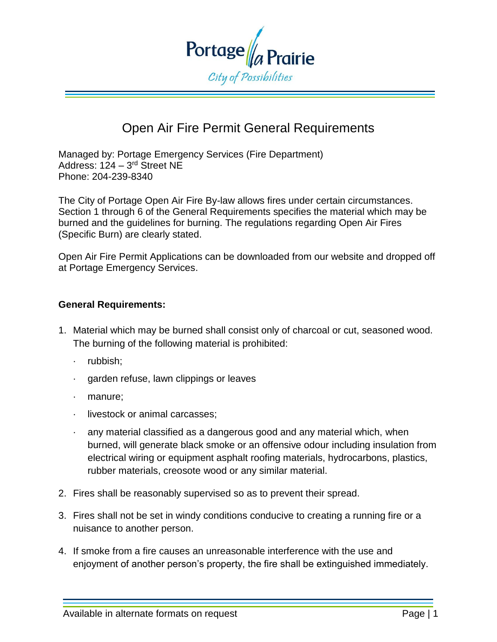

## Open Air Fire Permit General Requirements

Managed by: Portage Emergency Services (Fire Department) Address: 124 – 3<sup>rd</sup> Street NE Phone: 204-239-8340

The City of Portage Open Air Fire By-law allows fires under certain circumstances. Section 1 through 6 of the General Requirements specifies the material which may be burned and the guidelines for burning. The regulations regarding Open Air Fires (Specific Burn) are clearly stated.

Open Air Fire Permit Applications can be downloaded from our website and dropped off at Portage Emergency Services.

## **General Requirements:**

- 1. Material which may be burned shall consist only of charcoal or cut, seasoned wood. The burning of the following material is prohibited:
	- · rubbish;
	- garden refuse, lawn clippings or leaves
	- · manure;
	- livestock or animal carcasses:
	- any material classified as a dangerous good and any material which, when burned, will generate black smoke or an offensive odour including insulation from electrical wiring or equipment asphalt roofing materials, hydrocarbons, plastics, rubber materials, creosote wood or any similar material.
- 2. Fires shall be reasonably supervised so as to prevent their spread.
- 3. Fires shall not be set in windy conditions conducive to creating a running fire or a nuisance to another person.
- 4. If smoke from a fire causes an unreasonable interference with the use and enjoyment of another person's property, the fire shall be extinguished immediately.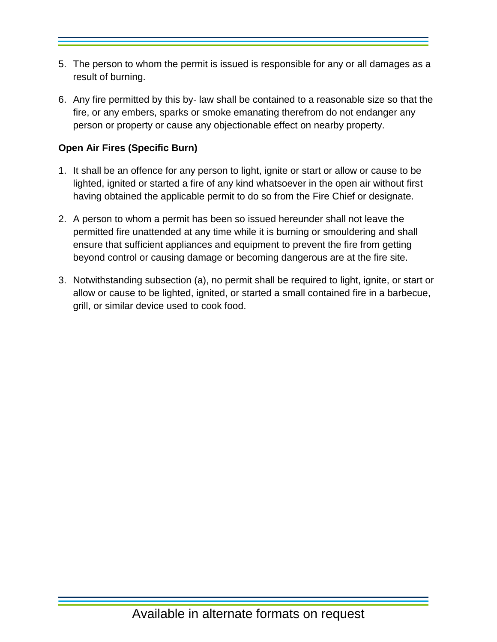- 5. The person to whom the permit is issued is responsible for any or all damages as a result of burning.
- 6. Any fire permitted by this by- law shall be contained to a reasonable size so that the fire, or any embers, sparks or smoke emanating therefrom do not endanger any person or property or cause any objectionable effect on nearby property.

## **Open Air Fires (Specific Burn)**

- 1. It shall be an offence for any person to light, ignite or start or allow or cause to be lighted, ignited or started a fire of any kind whatsoever in the open air without first having obtained the applicable permit to do so from the Fire Chief or designate.
- 2. A person to whom a permit has been so issued hereunder shall not leave the permitted fire unattended at any time while it is burning or smouldering and shall ensure that sufficient appliances and equipment to prevent the fire from getting beyond control or causing damage or becoming dangerous are at the fire site.
- 3. Notwithstanding subsection (a), no permit shall be required to light, ignite, or start or allow or cause to be lighted, ignited, or started a small contained fire in a barbecue, grill, or similar device used to cook food.